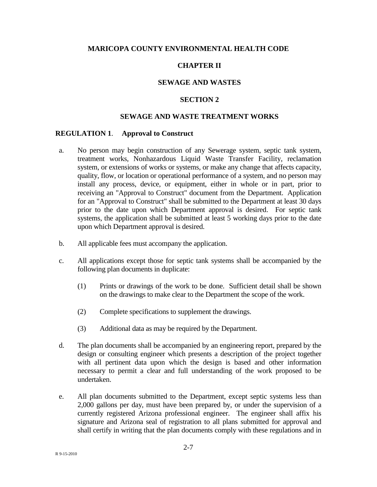### **MARICOPA COUNTY ENVIRONMENTAL HEALTH CODE**

## **CHAPTER II**

### **SEWAGE AND WASTES**

#### **SECTION 2**

### **SEWAGE AND WASTE TREATMENT WORKS**

### **REGULATION 1**. **Approval to Construct**

- a. No person may begin construction of any Sewerage system, septic tank system, treatment works, Nonhazardous Liquid Waste Transfer Facility, reclamation system, or extensions of works or systems, or make any change that affects capacity, quality, flow, or location or operational performance of a system, and no person may install any process, device, or equipment, either in whole or in part, prior to receiving an "Approval to Construct" document from the Department. Application for an "Approval to Construct" shall be submitted to the Department at least 30 days prior to the date upon which Department approval is desired. For septic tank systems, the application shall be submitted at least 5 working days prior to the date upon which Department approval is desired.
- b. All applicable fees must accompany the application.
- c. All applications except those for septic tank systems shall be accompanied by the following plan documents in duplicate:
	- (1) Prints or drawings of the work to be done. Sufficient detail shall be shown on the drawings to make clear to the Department the scope of the work.
	- (2) Complete specifications to supplement the drawings.
	- (3) Additional data as may be required by the Department.
- d. The plan documents shall be accompanied by an engineering report, prepared by the design or consulting engineer which presents a description of the project together with all pertinent data upon which the design is based and other information necessary to permit a clear and full understanding of the work proposed to be undertaken.
- e. All plan documents submitted to the Department, except septic systems less than 2,000 gallons per day, must have been prepared by, or under the supervision of a currently registered Arizona professional engineer. The engineer shall affix his signature and Arizona seal of registration to all plans submitted for approval and shall certify in writing that the plan documents comply with these regulations and in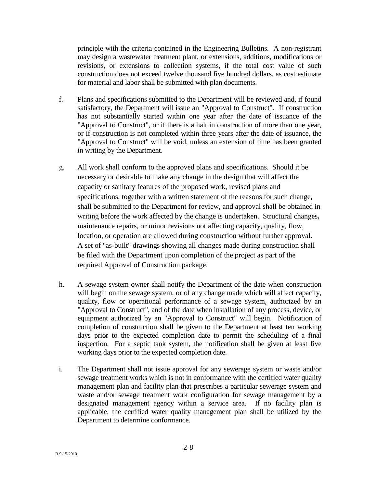principle with the criteria contained in the Engineering Bulletins. A non-registrant may design a wastewater treatment plant, or extensions, additions, modifications or revisions, or extensions to collection systems, if the total cost value of such construction does not exceed twelve thousand five hundred dollars, as cost estimate for material and labor shall be submitted with plan documents.

- f. Plans and specifications submitted to the Department will be reviewed and, if found satisfactory, the Department will issue an "Approval to Construct". If construction has not substantially started within one year after the date of issuance of the "Approval to Construct", or if there is a halt in construction of more than one year, or if construction is not completed within three years after the date of issuance, the "Approval to Construct" will be void, unless an extension of time has been granted in writing by the Department.
- g. All work shall conform to the approved plans and specifications. Should it be necessary or desirable to make any change in the design that will affect the capacity or sanitary features of the proposed work, revised plans and specifications, together with a written statement of the reasons for such change, shall be submitted to the Department for review, and approval shall be obtained in writing before the work affected by the change is undertaken. Structural changes**,**  maintenance repairs, or minor revisions not affecting capacity, quality, flow, location, or operation are allowed during construction without further approval. A set of "as-built" drawings showing all changes made during construction shall be filed with the Department upon completion of the project as part of the required Approval of Construction package.
- h. A sewage system owner shall notify the Department of the date when construction will begin on the sewage system, or of any change made which will affect capacity, quality, flow or operational performance of a sewage system, authorized by an "Approval to Construct", and of the date when installation of any process, device, or equipment authorized by an "Approval to Construct" will begin. Notification of completion of construction shall be given to the Department at least ten working days prior to the expected completion date to permit the scheduling of a final inspection. For a septic tank system, the notification shall be given at least five working days prior to the expected completion date.
- i. The Department shall not issue approval for any sewerage system or waste and/or sewage treatment works which is not in conformance with the certified water quality management plan and facility plan that prescribes a particular sewerage system and waste and/or sewage treatment work configuration for sewage management by a designated management agency within a service area. If no facility plan is applicable, the certified water quality management plan shall be utilized by the Department to determine conformance.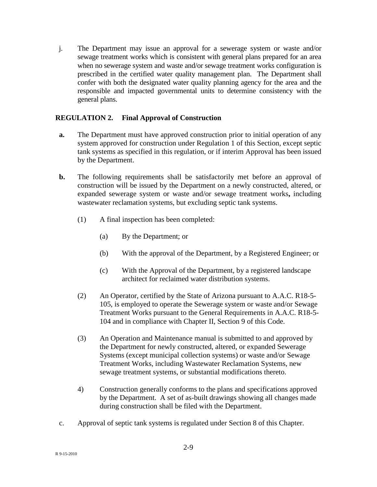j. The Department may issue an approval for a sewerage system or waste and/or sewage treatment works which is consistent with general plans prepared for an area when no sewerage system and waste and/or sewage treatment works configuration is prescribed in the certified water quality management plan. The Department shall confer with both the designated water quality planning agency for the area and the responsible and impacted governmental units to determine consistency with the general plans.

# **REGULATION 2. Final Approval of Construction**

- **a.** The Department must have approved construction prior to initial operation of any system approved for construction under Regulation 1 of this Section, except septic tank systems as specified in this regulation, or if interim Approval has been issued by the Department.
- **b.** The following requirements shall be satisfactorily met before an approval of construction will be issued by the Department on a newly constructed, altered, or expanded sewerage system or waste and/or sewage treatment works**,** including wastewater reclamation systems, but excluding septic tank systems.
	- (1) A final inspection has been completed:
		- (a) By the Department; or
		- (b) With the approval of the Department, by a Registered Engineer; or
		- (c) With the Approval of the Department, by a registered landscape architect for reclaimed water distribution systems.
	- (2) An Operator, certified by the State of Arizona pursuant to A.A.C. R18-5- 105, is employed to operate the Sewerage system or waste and/or Sewage Treatment Works pursuant to the General Requirements in A.A.C. R18-5- 104 and in compliance with Chapter II, Section 9 of this Code.
	- (3) An Operation and Maintenance manual is submitted to and approved by the Department for newly constructed, altered, or expanded Sewerage Systems (except municipal collection systems) or waste and/or Sewage Treatment Works, including Wastewater Reclamation Systems, new sewage treatment systems, or substantial modifications thereto.
	- 4) Construction generally conforms to the plans and specifications approved by the Department. A set of as-built drawings showing all changes made during construction shall be filed with the Department.
- c. Approval of septic tank systems is regulated under Section 8 of this Chapter.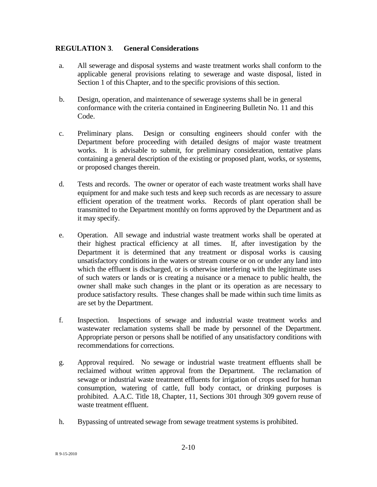## **REGULATION 3**. **General Considerations**

- a. All sewerage and disposal systems and waste treatment works shall conform to the applicable general provisions relating to sewerage and waste disposal, listed in Section 1 of this Chapter, and to the specific provisions of this section.
- b. Design, operation, and maintenance of sewerage systems shall be in general conformance with the criteria contained in Engineering Bulletin No. 11 and this Code.
- c. Preliminary plans. Design or consulting engineers should confer with the Department before proceeding with detailed designs of major waste treatment works. It is advisable to submit, for preliminary consideration, tentative plans containing a general description of the existing or proposed plant, works, or systems, or proposed changes therein.
- d. Tests and records. The owner or operator of each waste treatment works shall have equipment for and make such tests and keep such records as are necessary to assure efficient operation of the treatment works. Records of plant operation shall be transmitted to the Department monthly on forms approved by the Department and as it may specify.
- e. Operation. All sewage and industrial waste treatment works shall be operated at their highest practical efficiency at all times. If, after investigation by the Department it is determined that any treatment or disposal works is causing unsatisfactory conditions in the waters or stream course or on or under any land into which the effluent is discharged, or is otherwise interfering with the legitimate uses of such waters or lands or is creating a nuisance or a menace to public health, the owner shall make such changes in the plant or its operation as are necessary to produce satisfactory results. These changes shall be made within such time limits as are set by the Department.
- f. Inspection. Inspections of sewage and industrial waste treatment works and wastewater reclamation systems shall be made by personnel of the Department. Appropriate person or persons shall be notified of any unsatisfactory conditions with recommendations for corrections.
- g. Approval required. No sewage or industrial waste treatment effluents shall be reclaimed without written approval from the Department. The reclamation of sewage or industrial waste treatment effluents for irrigation of crops used for human consumption, watering of cattle, full body contact, or drinking purposes is prohibited. A.A.C. Title 18, Chapter, 11, Sections 301 through 309 govern reuse of waste treatment effluent.
- h. Bypassing of untreated sewage from sewage treatment systems is prohibited.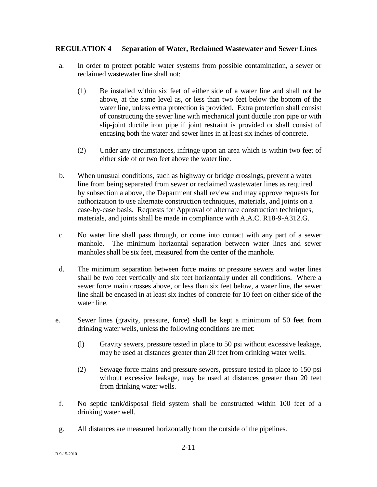## **REGULATION 4 Separation of Water, Reclaimed Wastewater and Sewer Lines**

- a. In order to protect potable water systems from possible contamination, a sewer or reclaimed wastewater line shall not:
	- (1) Be installed within six feet of either side of a water line and shall not be above, at the same level as, or less than two feet below the bottom of the water line, unless extra protection is provided. Extra protection shall consist of constructing the sewer line with mechanical joint ductile iron pipe or with slip-joint ductile iron pipe if joint restraint is provided or shall consist of encasing both the water and sewer lines in at least six inches of concrete.
	- (2) Under any circumstances, infringe upon an area which is within two feet of either side of or two feet above the water line.
- b. When unusual conditions, such as highway or bridge crossings, prevent a water line from being separated from sewer or reclaimed wastewater lines as required by subsection a above, the Department shall review and may approve requests for authorization to use alternate construction techniques, materials, and joints on a case-by-case basis. Requests for Approval of alternate construction techniques, materials, and joints shall be made in compliance with A.A.C. R18-9-A312.G.
- c. No water line shall pass through, or come into contact with any part of a sewer manhole. The minimum horizontal separation between water lines and sewer manholes shall be six feet, measured from the center of the manhole.
- d. The minimum separation between force mains or pressure sewers and water lines shall be two feet vertically and six feet horizontally under all conditions. Where a sewer force main crosses above, or less than six feet below, a water line, the sewer line shall be encased in at least six inches of concrete for 10 feet on either side of the water line.
- e. Sewer lines (gravity, pressure, force) shall be kept a minimum of 50 feet from drinking water wells, unless the following conditions are met:
	- (l) Gravity sewers, pressure tested in place to 50 psi without excessive leakage, may be used at distances greater than 20 feet from drinking water wells.
	- (2) Sewage force mains and pressure sewers, pressure tested in place to 150 psi without excessive leakage, may be used at distances greater than 20 feet from drinking water wells.
- f. No septic tank/disposal field system shall be constructed within 100 feet of a drinking water well.
- g. All distances are measured horizontally from the outside of the pipelines.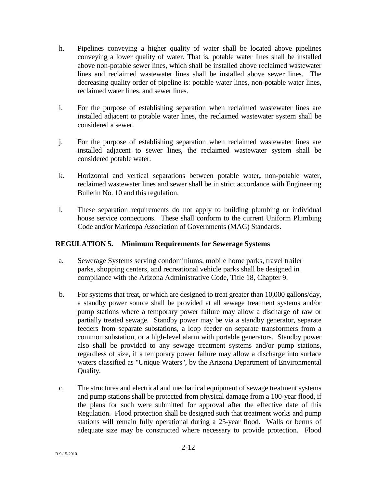- h. Pipelines conveying a higher quality of water shall be located above pipelines conveying a lower quality of water. That is, potable water lines shall be installed above non-potable sewer lines, which shall be installed above reclaimed wastewater lines and reclaimed wastewater lines shall be installed above sewer lines. The decreasing quality order of pipeline is: potable water lines, non-potable water lines, reclaimed water lines, and sewer lines.
- i. For the purpose of establishing separation when reclaimed wastewater lines are installed adjacent to potable water lines, the reclaimed wastewater system shall be considered a sewer.
- j. For the purpose of establishing separation when reclaimed wastewater lines are installed adjacent to sewer lines, the reclaimed wastewater system shall be considered potable water.
- k. Horizontal and vertical separations between potable water**,** non-potable water, reclaimed wastewater lines and sewer shall be in strict accordance with Engineering Bulletin No. 10 and this regulation.
- l. These separation requirements do not apply to building plumbing or individual house service connections. These shall conform to the current Uniform Plumbing Code and/or Maricopa Association of Governments (MAG) Standards.

## **REGULATION 5. Minimum Requirements for Sewerage Systems**

- a. Sewerage Systems serving condominiums, mobile home parks, travel trailer parks, shopping centers, and recreational vehicle parks shall be designed in compliance with the Arizona Administrative Code, Title 18, Chapter 9.
- b. For systems that treat, or which are designed to treat greater than 10,000 gallons/day, a standby power source shall be provided at all sewage treatment systems and/or pump stations where a temporary power failure may allow a discharge of raw or partially treated sewage. Standby power may be via a standby generator, separate feeders from separate substations, a loop feeder on separate transformers from a common substation, or a high-level alarm with portable generators. Standby power also shall be provided to any sewage treatment systems and/or pump stations, regardless of size, if a temporary power failure may allow a discharge into surface waters classified as "Unique Waters", by the Arizona Department of Environmental Quality.
- c. The structures and electrical and mechanical equipment of sewage treatment systems and pump stations shall be protected from physical damage from a 100-year flood, if the plans for such were submitted for approval after the effective date of this Regulation. Flood protection shall be designed such that treatment works and pump stations will remain fully operational during a 25-year flood. Walls or berms of adequate size may be constructed where necessary to provide protection. Flood